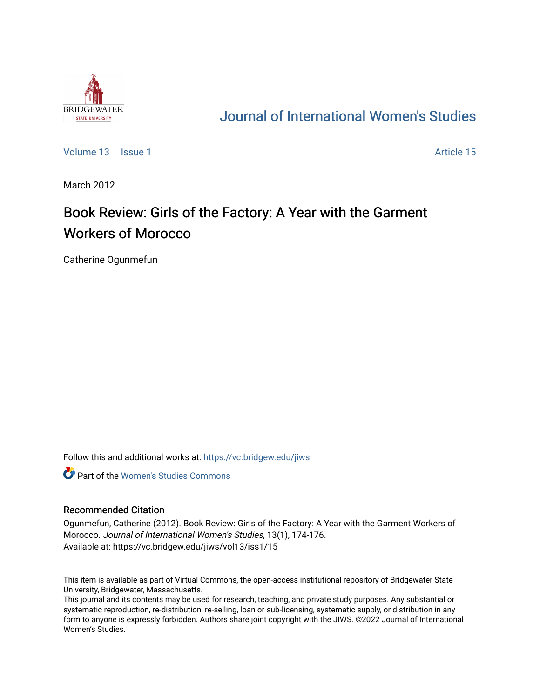

## [Journal of International Women's Studies](https://vc.bridgew.edu/jiws)

[Volume 13](https://vc.bridgew.edu/jiws/vol13) September 15 and the set of the set of the set of the set of the set of the set of the set of the set of the set of the set of the set of the set of the set of the set of the set of the set of the set of the set

March 2012

# Book Review: Girls of the Factory: A Year with the Garment Workers of Morocco

Catherine Ogunmefun

Follow this and additional works at: [https://vc.bridgew.edu/jiws](https://vc.bridgew.edu/jiws?utm_source=vc.bridgew.edu%2Fjiws%2Fvol13%2Fiss1%2F15&utm_medium=PDF&utm_campaign=PDFCoverPages)

**C** Part of the Women's Studies Commons

#### Recommended Citation

Ogunmefun, Catherine (2012). Book Review: Girls of the Factory: A Year with the Garment Workers of Morocco. Journal of International Women's Studies, 13(1), 174-176. Available at: https://vc.bridgew.edu/jiws/vol13/iss1/15

This item is available as part of Virtual Commons, the open-access institutional repository of Bridgewater State University, Bridgewater, Massachusetts.

This journal and its contents may be used for research, teaching, and private study purposes. Any substantial or systematic reproduction, re-distribution, re-selling, loan or sub-licensing, systematic supply, or distribution in any form to anyone is expressly forbidden. Authors share joint copyright with the JIWS. ©2022 Journal of International Women's Studies.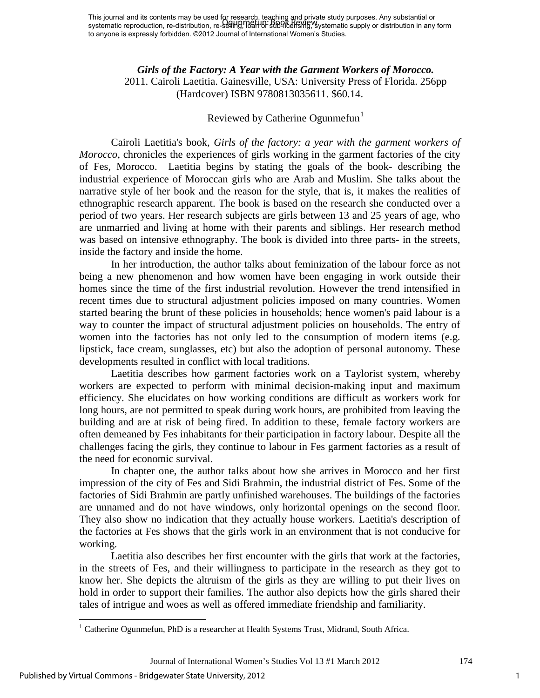## *Girls of the Factory: A Year with the Garment Workers of Morocco.*  2011. Cairoli Laetitia. Gainesville, USA: University Press of Florida. 256pp (Hardcover) ISBN 9780813035611. \$60.14.

## Reviewed by Catherine Ogunmefun<sup>[1](#page-1-0)</sup>

Cairoli Laetitia's book, *Girls of the factory: a year with the garment workers of Morocco*, chronicles the experiences of girls working in the garment factories of the city of Fes, Morocco. Laetitia begins by stating the goals of the book- describing the industrial experience of Moroccan girls who are Arab and Muslim. She talks about the narrative style of her book and the reason for the style, that is, it makes the realities of ethnographic research apparent. The book is based on the research she conducted over a period of two years. Her research subjects are girls between 13 and 25 years of age, who are unmarried and living at home with their parents and siblings. Her research method was based on intensive ethnography. The book is divided into three parts- in the streets, inside the factory and inside the home.

In her introduction, the author talks about feminization of the labour force as not being a new phenomenon and how women have been engaging in work outside their homes since the time of the first industrial revolution. However the trend intensified in recent times due to structural adjustment policies imposed on many countries. Women started bearing the brunt of these policies in households; hence women's paid labour is a way to counter the impact of structural adjustment policies on households. The entry of women into the factories has not only led to the consumption of modern items (e.g. lipstick, face cream, sunglasses, etc) but also the adoption of personal autonomy. These developments resulted in conflict with local traditions.

Laetitia describes how garment factories work on a Taylorist system, whereby workers are expected to perform with minimal decision-making input and maximum efficiency. She elucidates on how working conditions are difficult as workers work for long hours, are not permitted to speak during work hours, are prohibited from leaving the building and are at risk of being fired. In addition to these, female factory workers are often demeaned by Fes inhabitants for their participation in factory labour. Despite all the challenges facing the girls, they continue to labour in Fes garment factories as a result of the need for economic survival.

In chapter one, the author talks about how she arrives in Morocco and her first impression of the city of Fes and Sidi Brahmin, the industrial district of Fes. Some of the factories of Sidi Brahmin are partly unfinished warehouses. The buildings of the factories are unnamed and do not have windows, only horizontal openings on the second floor. They also show no indication that they actually house workers. Laetitia's description of the factories at Fes shows that the girls work in an environment that is not conducive for working.

Laetitia also describes her first encounter with the girls that work at the factories, in the streets of Fes, and their willingness to participate in the research as they got to know her. She depicts the altruism of the girls as they are willing to put their lives on hold in order to support their families. The author also depicts how the girls shared their tales of intrigue and woes as well as offered immediate friendship and familiarity.

l

1

<span id="page-1-0"></span> $1$  Catherine Ogunmefun, PhD is a researcher at Health Systems Trust, Midrand, South Africa.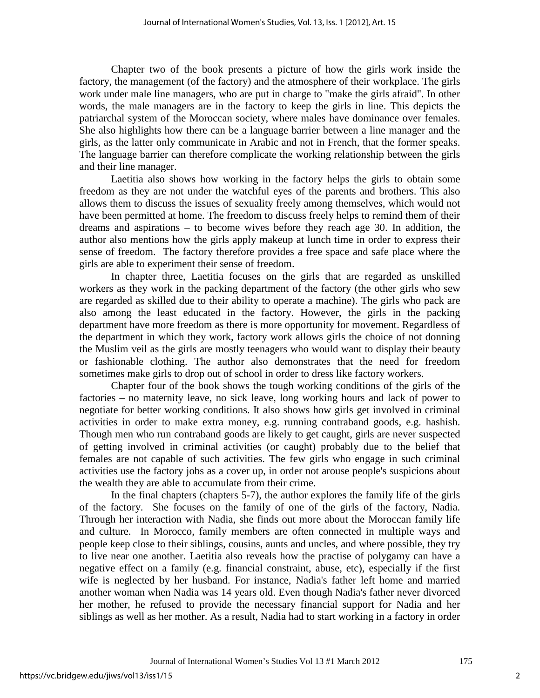Chapter two of the book presents a picture of how the girls work inside the factory, the management (of the factory) and the atmosphere of their workplace. The girls work under male line managers, who are put in charge to "make the girls afraid". In other words, the male managers are in the factory to keep the girls in line. This depicts the patriarchal system of the Moroccan society, where males have dominance over females. She also highlights how there can be a language barrier between a line manager and the girls, as the latter only communicate in Arabic and not in French, that the former speaks. The language barrier can therefore complicate the working relationship between the girls and their line manager.

Laetitia also shows how working in the factory helps the girls to obtain some freedom as they are not under the watchful eyes of the parents and brothers. This also allows them to discuss the issues of sexuality freely among themselves, which would not have been permitted at home. The freedom to discuss freely helps to remind them of their dreams and aspirations – to become wives before they reach age 30. In addition, the author also mentions how the girls apply makeup at lunch time in order to express their sense of freedom. The factory therefore provides a free space and safe place where the girls are able to experiment their sense of freedom.

In chapter three, Laetitia focuses on the girls that are regarded as unskilled workers as they work in the packing department of the factory (the other girls who sew are regarded as skilled due to their ability to operate a machine). The girls who pack are also among the least educated in the factory. However, the girls in the packing department have more freedom as there is more opportunity for movement. Regardless of the department in which they work, factory work allows girls the choice of not donning the Muslim veil as the girls are mostly teenagers who would want to display their beauty or fashionable clothing. The author also demonstrates that the need for freedom sometimes make girls to drop out of school in order to dress like factory workers.

Chapter four of the book shows the tough working conditions of the girls of the factories – no maternity leave, no sick leave, long working hours and lack of power to negotiate for better working conditions. It also shows how girls get involved in criminal activities in order to make extra money, e.g. running contraband goods, e.g. hashish. Though men who run contraband goods are likely to get caught, girls are never suspected of getting involved in criminal activities (or caught) probably due to the belief that females are not capable of such activities. The few girls who engage in such criminal activities use the factory jobs as a cover up, in order not arouse people's suspicions about the wealth they are able to accumulate from their crime.

In the final chapters (chapters 5-7), the author explores the family life of the girls of the factory. She focuses on the family of one of the girls of the factory, Nadia. Through her interaction with Nadia, she finds out more about the Moroccan family life and culture. In Morocco, family members are often connected in multiple ways and people keep close to their siblings, cousins, aunts and uncles, and where possible, they try to live near one another. Laetitia also reveals how the practise of polygamy can have a negative effect on a family (e.g. financial constraint, abuse, etc), especially if the first wife is neglected by her husband. For instance, Nadia's father left home and married another woman when Nadia was 14 years old. Even though Nadia's father never divorced her mother, he refused to provide the necessary financial support for Nadia and her siblings as well as her mother. As a result, Nadia had to start working in a factory in order